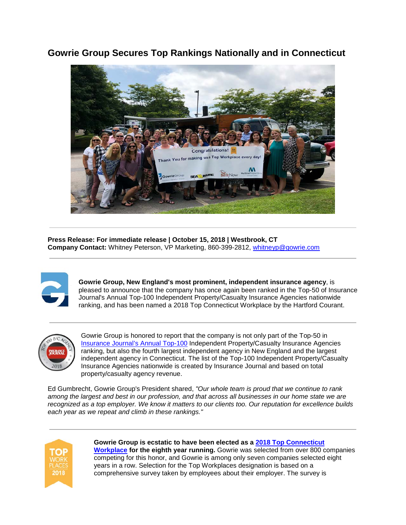## **Gowrie Group Secures Top Rankings Nationally and in Connecticut**



**Press Release: For immediate release | October 15, 2018 | Westbrook, CT Company Contact:** Whitney Peterson, VP Marketing, 860-399-2812, [whitneyp@gowrie.com](mailto:whitneyp@gowrie.com)



**Gowrie Group, New England's most prominent, independent insurance agency**, is pleased to announce that the company has once again been ranked in the Top-50 of Insurance Journal's Annual Top-100 Independent Property/Casualty Insurance Agencies nationwide ranking, and has been named a 2018 Top Connecticut Workplace by the Hartford Courant.



Gowrie Group is honored to report that the company is not only part of the Top-50 in [Insurance Journal's Annual Top-100](https://www.insurancejournal.com/top-100-insurance-agencies/) Independent Property/Casualty Insurance Agencies ranking, but also the fourth largest independent agency in New England and the largest independent agency in Connecticut. The list of the Top-100 Independent Property/Casualty Insurance Agencies nationwide is created by Insurance Journal and based on total property/casualty agency revenue.

Ed Gumbrecht, Gowrie Group's President shared, *"Our whole team is proud that we continue to rank among the largest and best in our profession, and that across all businesses in our home state we are recognized as a top employer. We know it matters to our clients too. Our reputation for excellence builds each year as we repeat and climb in these rankings."*



**Gowrie Group is ecstatic to have been elected as a [2018 Top Connecticut](http://www.courant.com/business/top-workplaces/hc-top-workplaces-2018-htmlstory.html)  [Workplace](http://www.courant.com/business/top-workplaces/hc-top-workplaces-2018-htmlstory.html) for the eighth year running.** Gowrie was selected from over 800 companies competing for this honor, and Gowrie is among only seven companies selected eight years in a row. Selection for the Top Workplaces designation is based on a comprehensive survey taken by employees about their employer. The survey is